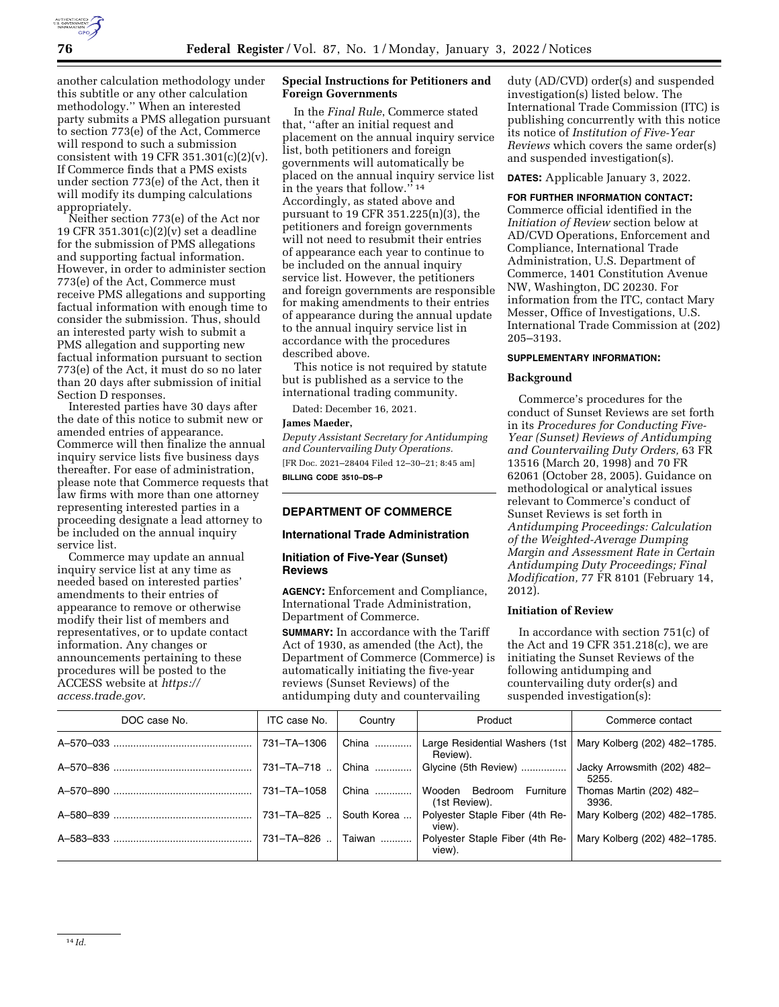

another calculation methodology under this subtitle or any other calculation methodology.'' When an interested party submits a PMS allegation pursuant to section 773(e) of the Act, Commerce will respond to such a submission consistent with 19 CFR 351.301 $(c)(2)(v)$ . If Commerce finds that a PMS exists under section 773(e) of the Act, then it will modify its dumping calculations appropriately.

Neither section 773(e) of the Act nor 19 CFR 351.301(c)(2)(v) set a deadline for the submission of PMS allegations and supporting factual information. However, in order to administer section 773(e) of the Act, Commerce must receive PMS allegations and supporting factual information with enough time to consider the submission. Thus, should an interested party wish to submit a PMS allegation and supporting new factual information pursuant to section 773(e) of the Act, it must do so no later than 20 days after submission of initial Section D responses.

Interested parties have 30 days after the date of this notice to submit new or amended entries of appearance. Commerce will then finalize the annual inquiry service lists five business days thereafter. For ease of administration, please note that Commerce requests that law firms with more than one attorney representing interested parties in a proceeding designate a lead attorney to be included on the annual inquiry service list.

Commerce may update an annual inquiry service list at any time as needed based on interested parties' amendments to their entries of appearance to remove or otherwise modify their list of members and representatives, or to update contact information. Any changes or announcements pertaining to these procedures will be posted to the ACCESS website at *https:// access.trade.gov.* 

## **Special Instructions for Petitioners and Foreign Governments**

In the *Final Rule*, Commerce stated that, ''after an initial request and placement on the annual inquiry service list, both petitioners and foreign governments will automatically be placed on the annual inquiry service list in the years that follow."<sup>14</sup> Accordingly, as stated above and pursuant to 19 CFR 351.225(n)(3), the petitioners and foreign governments will not need to resubmit their entries of appearance each year to continue to be included on the annual inquiry service list. However, the petitioners and foreign governments are responsible for making amendments to their entries of appearance during the annual update to the annual inquiry service list in accordance with the procedures described above.

This notice is not required by statute but is published as a service to the international trading community.

Dated: December 16, 2021.

### **James Maeder,**

*Deputy Assistant Secretary for Antidumping and Countervailing Duty Operations.*  [FR Doc. 2021–28404 Filed 12–30–21; 8:45 am] **BILLING CODE 3510–DS–P** 

# **DEPARTMENT OF COMMERCE**

## **International Trade Administration**

## **Initiation of Five-Year (Sunset) Reviews**

**AGENCY:** Enforcement and Compliance, International Trade Administration, Department of Commerce.

**SUMMARY:** In accordance with the Tariff Act of 1930, as amended (the Act), the Department of Commerce (Commerce) is automatically initiating the five-year reviews (Sunset Reviews) of the antidumping duty and countervailing

duty (AD/CVD) order(s) and suspended investigation(s) listed below. The International Trade Commission (ITC) is publishing concurrently with this notice its notice of *Institution of Five-Year Reviews* which covers the same order(s) and suspended investigation(s).

**DATES:** Applicable January 3, 2022.

#### **FOR FURTHER INFORMATION CONTACT:**

Commerce official identified in the *Initiation of Review* section below at AD/CVD Operations, Enforcement and Compliance, International Trade Administration, U.S. Department of Commerce, 1401 Constitution Avenue NW, Washington, DC 20230. For information from the ITC, contact Mary Messer, Office of Investigations, U.S. International Trade Commission at (202) 205–3193.

#### **SUPPLEMENTARY INFORMATION:**

### **Background**

Commerce's procedures for the conduct of Sunset Reviews are set forth in its *Procedures for Conducting Five-Year (Sunset) Reviews of Antidumping and Countervailing Duty Orders,* 63 FR 13516 (March 20, 1998) and 70 FR 62061 (October 28, 2005). Guidance on methodological or analytical issues relevant to Commerce's conduct of Sunset Reviews is set forth in *Antidumping Proceedings: Calculation of the Weighted-Average Dumping Margin and Assessment Rate in Certain Antidumping Duty Proceedings; Final Modification,* 77 FR 8101 (February 14, 2012).

#### **Initiation of Review**

In accordance with section 751(c) of the Act and 19 CFR 351.218(c), we are initiating the Sunset Reviews of the following antidumping and countervailing duty order(s) and suspended investigation(s):

| DOC case No. | ITC case No. | Country     | Product                                         | Commerce contact                     |
|--------------|--------------|-------------|-------------------------------------------------|--------------------------------------|
|              | 731-TA-1306  | China       | Large Residential Washers (1st<br>Review).      | Mary Kolberg (202) 482-1785.         |
|              | 731-TA-718   | China       | Glycine (5th Review)                            | Jacky Arrowsmith (202) 482-<br>5255. |
|              | 731-TA-1058  | China       | Bedroom<br>Furniture<br>Wooden<br>(1st Review). | Thomas Martin (202) 482-<br>3936.    |
|              | 731-TA-825   | South Korea | Polyester Staple Fiber (4th Re-<br>view).       | Mary Kolberg (202) 482-1785.         |
|              | 731-TA-826   | Taiwan      | Polyester Staple Fiber (4th Re-<br>view).       | Mary Kolberg (202) 482-1785.         |